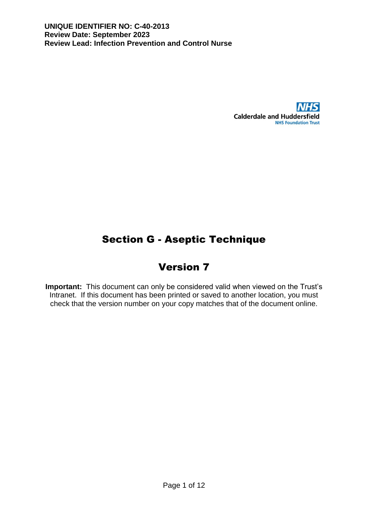

# Section G - Aseptic Technique

## Version 7

**Important:** This document can only be considered valid when viewed on the Trust's Intranet. If this document has been printed or saved to another location, you must check that the version number on your copy matches that of the document online.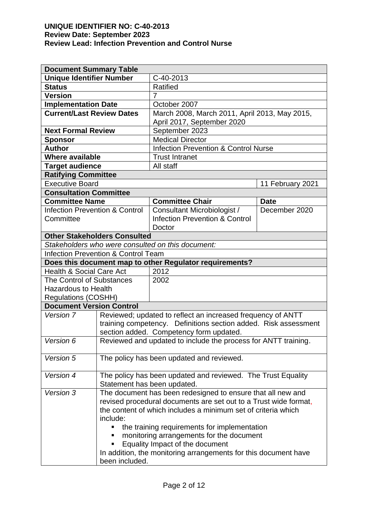| <b>Document Summary Table</b>                                   |                                                                  |                                                              |               |  |  |  |
|-----------------------------------------------------------------|------------------------------------------------------------------|--------------------------------------------------------------|---------------|--|--|--|
|                                                                 | <b>Unique Identifier Number</b><br>C-40-2013                     |                                                              |               |  |  |  |
| <b>Status</b>                                                   |                                                                  | <b>Ratified</b>                                              |               |  |  |  |
| <b>Version</b><br>$\overline{7}$                                |                                                                  |                                                              |               |  |  |  |
| <b>Implementation Date</b>                                      |                                                                  | October 2007                                                 |               |  |  |  |
| <b>Current/Last Review Dates</b>                                |                                                                  | March 2008, March 2011, April 2013, May 2015,                |               |  |  |  |
|                                                                 |                                                                  | April 2017, September 2020                                   |               |  |  |  |
| <b>Next Formal Review</b>                                       |                                                                  | September 2023                                               |               |  |  |  |
| <b>Medical Director</b><br><b>Sponsor</b>                       |                                                                  |                                                              |               |  |  |  |
| <b>Author</b>                                                   |                                                                  | <b>Infection Prevention &amp; Control Nurse</b>              |               |  |  |  |
|                                                                 | <b>Where available</b><br><b>Trust Intranet</b>                  |                                                              |               |  |  |  |
| <b>Target audience</b>                                          |                                                                  | All staff                                                    |               |  |  |  |
| <b>Ratifying Committee</b>                                      |                                                                  |                                                              |               |  |  |  |
| <b>Executive Board</b>                                          |                                                                  | 11 February 2021                                             |               |  |  |  |
| <b>Consultation Committee</b>                                   |                                                                  |                                                              |               |  |  |  |
| <b>Committee Name</b>                                           |                                                                  | <b>Committee Chair</b>                                       | <b>Date</b>   |  |  |  |
| <b>Infection Prevention &amp; Control</b>                       |                                                                  | Consultant Microbiologist /                                  | December 2020 |  |  |  |
| Committee                                                       |                                                                  | <b>Infection Prevention &amp; Control</b>                    |               |  |  |  |
|                                                                 |                                                                  | Doctor                                                       |               |  |  |  |
|                                                                 | <b>Other Stakeholders Consulted</b>                              |                                                              |               |  |  |  |
|                                                                 |                                                                  | Stakeholders who were consulted on this document:            |               |  |  |  |
|                                                                 | <b>Infection Prevention &amp; Control Team</b>                   |                                                              |               |  |  |  |
|                                                                 |                                                                  | Does this document map to other Regulator requirements?      |               |  |  |  |
| <b>Health &amp; Social Care Act</b>                             |                                                                  | 2012                                                         |               |  |  |  |
| <b>The Control of Substances</b>                                |                                                                  | 2002                                                         |               |  |  |  |
| <b>Hazardous to Health</b>                                      |                                                                  |                                                              |               |  |  |  |
| <b>Regulations (COSHH)</b>                                      |                                                                  |                                                              |               |  |  |  |
| <b>Document Version Control</b>                                 |                                                                  |                                                              |               |  |  |  |
| Version 7                                                       |                                                                  | Reviewed; updated to reflect an increased frequency of ANTT  |               |  |  |  |
|                                                                 | training competency. Definitions section added. Risk assessment  |                                                              |               |  |  |  |
|                                                                 | section added. Competency form updated.                          |                                                              |               |  |  |  |
| Version 6                                                       | Reviewed and updated to include the process for ANTT training.   |                                                              |               |  |  |  |
|                                                                 |                                                                  |                                                              |               |  |  |  |
| Version 5                                                       |                                                                  | The policy has been updated and reviewed.                    |               |  |  |  |
|                                                                 |                                                                  |                                                              |               |  |  |  |
| Version 4                                                       |                                                                  | The policy has been updated and reviewed. The Trust Equality |               |  |  |  |
|                                                                 | Statement has been updated.                                      |                                                              |               |  |  |  |
| Version 3                                                       |                                                                  | The document has been redesigned to ensure that all new and  |               |  |  |  |
|                                                                 | revised procedural documents are set out to a Trust wide format, |                                                              |               |  |  |  |
|                                                                 | the content of which includes a minimum set of criteria which    |                                                              |               |  |  |  |
| include:                                                        |                                                                  |                                                              |               |  |  |  |
| the training requirements for implementation                    |                                                                  |                                                              |               |  |  |  |
| monitoring arrangements for the document                        |                                                                  |                                                              |               |  |  |  |
| Equality Impact of the document                                 |                                                                  |                                                              |               |  |  |  |
| In addition, the monitoring arrangements for this document have |                                                                  |                                                              |               |  |  |  |
| been included.                                                  |                                                                  |                                                              |               |  |  |  |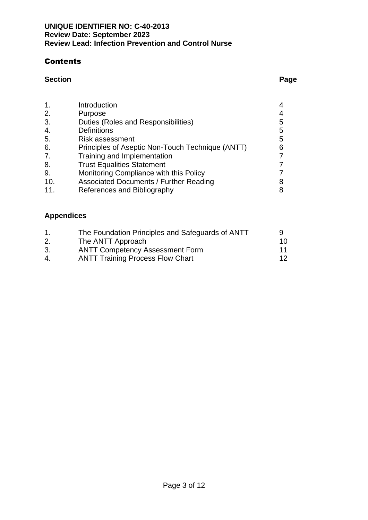#### **Contents**

#### **Section Page**

| $\mathbf 1$ . | Introduction                                     |   |
|---------------|--------------------------------------------------|---|
| 2.            | Purpose                                          |   |
| 3.            | Duties (Roles and Responsibilities)              | 5 |
| 4.            | <b>Definitions</b>                               | 5 |
| 5.            | <b>Risk assessment</b>                           | 5 |
| 6.            | Principles of Aseptic Non-Touch Technique (ANTT) | 6 |
| 7.            | Training and Implementation                      |   |
| 8.            | <b>Trust Equalities Statement</b>                |   |
| 9.            | Monitoring Compliance with this Policy           |   |
| 10.           | <b>Associated Documents / Further Reading</b>    |   |
| 11.           | References and Bibliography                      |   |

### **Appendices**

|    | The Foundation Principles and Safeguards of ANTT |    |
|----|--------------------------------------------------|----|
| 2. | The ANTT Approach                                | 10 |
| 3. | <b>ANTT Competency Assessment Form</b>           | 11 |
| 4. | <b>ANTT Training Process Flow Chart</b>          | 12 |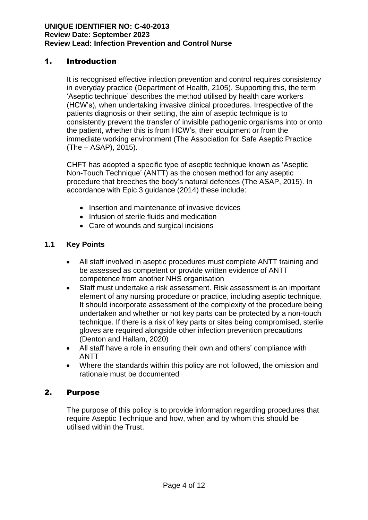#### 1. Introduction

It is recognised effective infection prevention and control requires consistency in everyday practice (Department of Health, 2105). Supporting this, the term 'Aseptic technique' describes the method utilised by health care workers (HCW's), when undertaking invasive clinical procedures. Irrespective of the patients diagnosis or their setting, the aim of aseptic technique is to consistently prevent the transfer of invisible pathogenic organisms into or onto the patient, whether this is from HCW's, their equipment or from the immediate working environment (The Association for Safe Aseptic Practice (The – ASAP), 2015).

CHFT has adopted a specific type of aseptic technique known as 'Aseptic Non-Touch Technique' (ANTT) as the chosen method for any aseptic procedure that breeches the body's natural defences (The ASAP, 2015). In accordance with Epic 3 guidance (2014) these include:

- Insertion and maintenance of invasive devices
- Infusion of sterile fluids and medication
- Care of wounds and surgical incisions

#### **1.1 Key Points**

- All staff involved in aseptic procedures must complete ANTT training and be assessed as competent or provide written evidence of ANTT competence from another NHS organisation
- Staff must undertake a risk assessment. Risk assessment is an important element of any nursing procedure or practice, including aseptic technique. It should incorporate assessment of the complexity of the procedure being undertaken and whether or not key parts can be protected by a non-touch technique. If there is a risk of key parts or sites being compromised, sterile gloves are required alongside other infection prevention precautions (Denton and Hallam, 2020)
- All staff have a role in ensuring their own and others' compliance with ANTT
- Where the standards within this policy are not followed, the omission and rationale must be documented

#### 2. Purpose

The purpose of this policy is to provide information regarding procedures that require Aseptic Technique and how, when and by whom this should be utilised within the Trust.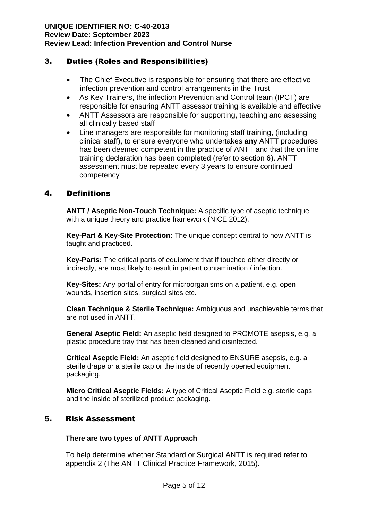#### 3. Duties (Roles and Responsibilities)

- The Chief Executive is responsible for ensuring that there are effective infection prevention and control arrangements in the Trust
- As Key Trainers, the infection Prevention and Control team (IPCT) are responsible for ensuring ANTT assessor training is available and effective
- ANTT Assessors are responsible for supporting, teaching and assessing all clinically based staff
- Line managers are responsible for monitoring staff training, (including clinical staff), to ensure everyone who undertakes **any** ANTT procedures has been deemed competent in the practice of ANTT and that the on line training declaration has been completed (refer to section 6). ANTT assessment must be repeated every 3 years to ensure continued competency

#### 4. Definitions

**ANTT / Aseptic Non-Touch Technique:** A specific type of aseptic technique with a unique theory and practice framework (NICE 2012).

**Key-Part & Key-Site Protection:** The unique concept central to how ANTT is taught and practiced.

**Key-Parts:** The critical parts of equipment that if touched either directly or indirectly, are most likely to result in patient contamination / infection.

**Key-Sites:** Any portal of entry for microorganisms on a patient, e.g. open wounds, insertion sites, surgical sites etc.

**Clean Technique & Sterile Technique:** Ambiguous and unachievable terms that are not used in ANTT.

**General Aseptic Field:** An aseptic field designed to PROMOTE asepsis, e.g. a plastic procedure tray that has been cleaned and disinfected.

**Critical Aseptic Field:** An aseptic field designed to ENSURE asepsis, e.g. a sterile drape or a sterile cap or the inside of recently opened equipment packaging.

**Micro Critical Aseptic Fields:** A type of Critical Aseptic Field e.g. sterile caps and the inside of sterilized product packaging.

#### 5. Risk Assessment

#### **There are two types of ANTT Approach**

To help determine whether Standard or Surgical ANTT is required refer to appendix 2 (The ANTT Clinical Practice Framework, 2015).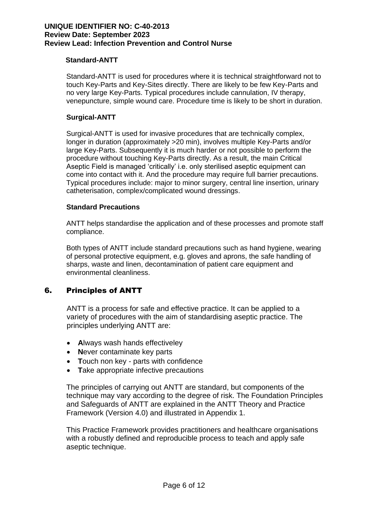#### **Standard-ANTT**

Standard-ANTT is used for procedures where it is technical straightforward not to touch Key-Parts and Key-Sites directly. There are likely to be few Key-Parts and no very large Key-Parts. Typical procedures include cannulation, IV therapy, venepuncture, simple wound care. Procedure time is likely to be short in duration.

#### **Surgical-ANTT**

Surgical-ANTT is used for invasive procedures that are technically complex, longer in duration (approximately >20 min), involves multiple Key-Parts and/or large Key-Parts. Subsequently it is much harder or not possible to perform the procedure without touching Key-Parts directly. As a result, the main Critical Aseptic Field is managed 'critically' i.e. only sterilised aseptic equipment can come into contact with it. And the procedure may require full barrier precautions. Typical procedures include: major to minor surgery, central line insertion, urinary catheterisation, complex/complicated wound dressings.

#### **Standard Precautions**

ANTT helps standardise the application and of these processes and promote staff compliance.

Both types of ANTT include standard precautions such as hand hygiene, wearing of personal protective equipment, e.g. gloves and aprons, the safe handling of sharps, waste and linen, decontamination of patient care equipment and environmental cleanliness.

#### 6. Principles of ANTT

ANTT is a process for safe and effective practice. It can be applied to a variety of procedures with the aim of standardising aseptic practice. The principles underlying ANTT are:

- **A**lways wash hands effectiveley
- **N**ever contaminate key parts
- **T**ouch non key parts with confidence
- **T**ake appropriate infective precautions

The principles of carrying out ANTT are standard, but components of the technique may vary according to the degree of risk. The Foundation Principles and Safeguards of ANTT are explained in the ANTT Theory and Practice Framework (Version 4.0) and illustrated in Appendix 1.

This Practice Framework provides practitioners and healthcare organisations with a robustly defined and reproducible process to teach and apply safe aseptic technique.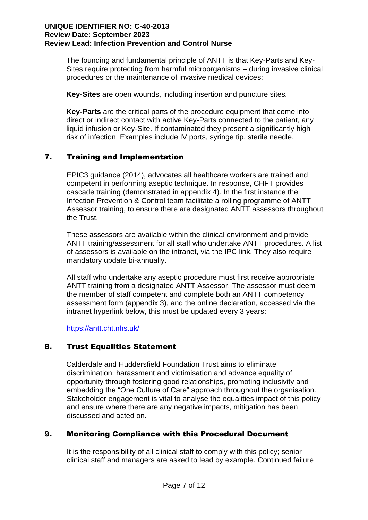The founding and fundamental principle of ANTT is that Key-Parts and Key-Sites require protecting from harmful microorganisms – during invasive clinical procedures or the maintenance of invasive medical devices:

**Key-Sites** are open wounds, including insertion and puncture sites*.*

**Key-Parts** are the critical parts of the procedure equipment that come into direct or indirect contact with active Key-Parts connected to the patient, any liquid infusion or Key-Site. If contaminated they present a significantly high risk of infection. Examples include IV ports, syringe tip, sterile needle.

#### 7. Training and Implementation

EPIC3 guidance (2014), advocates all healthcare workers are trained and competent in performing aseptic technique. In response, CHFT provides cascade training (demonstrated in appendix 4). In the first instance the Infection Prevention & Control team facilitate a rolling programme of ANTT Assessor training, to ensure there are designated ANTT assessors throughout the Trust.

These assessors are available within the clinical environment and provide ANTT training/assessment for all staff who undertake ANTT procedures. A list of assessors is available on the intranet, via the IPC link. They also require mandatory update bi-annually.

All staff who undertake any aseptic procedure must first receive appropriate ANTT training from a designated ANTT Assessor. The assessor must deem the member of staff competent and complete both an ANTT competency assessment form (appendix 3), and the online declaration, accessed via the intranet hyperlink below, this must be updated every 3 years:

<https://antt.cht.nhs.uk/>

#### 8. Trust Equalities Statement

Calderdale and Huddersfield Foundation Trust aims to eliminate discrimination, harassment and victimisation and advance equality of opportunity through fostering good relationships, promoting inclusivity and embedding the "One Culture of Care" approach throughout the organisation. Stakeholder engagement is vital to analyse the equalities impact of this policy and ensure where there are any negative impacts, mitigation has been discussed and acted on.

#### 9. Monitoring Compliance with this Procedural Document

It is the responsibility of all clinical staff to comply with this policy; senior clinical staff and managers are asked to lead by example. Continued failure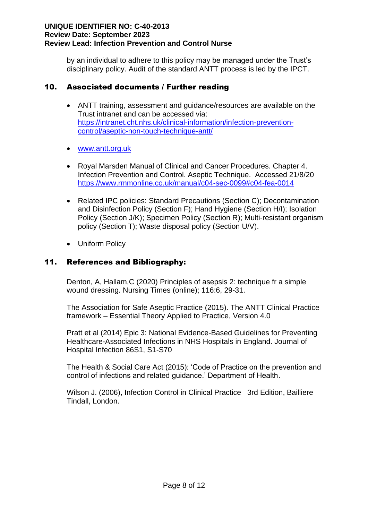by an individual to adhere to this policy may be managed under the Trust's disciplinary policy. Audit of the standard ANTT process is led by the IPCT.

#### 10. Associated documents / Further reading

- ANTT training, assessment and guidance/resources are available on the Trust intranet and can be accessed via: [https://intranet.cht.nhs.uk/clinical-information/infection-prevention](https://intranet.cht.nhs.uk/clinical-information/infection-prevention-control/aseptic-non-touch-technique-antt/)[control/aseptic-non-touch-technique-antt/](https://intranet.cht.nhs.uk/clinical-information/infection-prevention-control/aseptic-non-touch-technique-antt/)
- [www.antt.org.uk](http://www.antt.org.uk/)
- Royal Marsden Manual of Clinical and Cancer Procedures. Chapter 4. Infection Prevention and Control. Aseptic Technique. Accessed 21/8/20 <https://www.rmmonline.co.uk/manual/c04-sec-0099#c04-fea-0014>
- Related IPC policies: Standard Precautions (Section C); Decontamination and Disinfection Policy (Section F); Hand Hygiene (Section H/I); Isolation Policy (Section J/K); Specimen Policy (Section R); Multi-resistant organism policy (Section T); Waste disposal policy (Section U/V).
- Uniform Policy

#### 11. References and Bibliography:

Denton, A, Hallam,C (2020) Principles of asepsis 2: technique fr a simple wound dressing. Nursing Times (online); 116:6, 29-31.

The Association for Safe Aseptic Practice (2015). The ANTT Clinical Practice framework – Essential Theory Applied to Practice, Version 4.0

Pratt et al (2014) Epic 3: National Evidence-Based Guidelines for Preventing Healthcare-Associated Infections in NHS Hospitals in England. Journal of Hospital Infection 86S1, S1-S70

The Health & Social Care Act (2015): 'Code of Practice on the prevention and control of infections and related guidance.' Department of Health.

Wilson J. (2006), Infection Control in Clinical Practice 3rd Edition, Bailliere Tindall, London.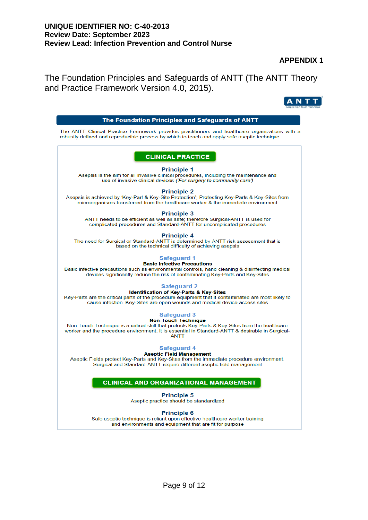#### **APPENDIX 1**

 $[ANTT]$ 

The Foundation Principles and Safeguards of ANTT (The ANTT Theory and Practice Framework Version 4.0, 2015).

| The Foundation Principles and Safeguards of ANTT                                                                                                                                                                                                |
|-------------------------------------------------------------------------------------------------------------------------------------------------------------------------------------------------------------------------------------------------|
| The ANTT Clinical Practice Framework provides practitioners and healthcare organizations with a<br>robustly defined and reproducible process by which to teach and apply safe aseptic technique.                                                |
| <b>CLINICAL PRACTICE</b>                                                                                                                                                                                                                        |
| <b>Principle 1</b><br>Asepsis is the aim for all invasive clinical procedures, including the maintenance and<br>use of invasive clinical devices ('For surgery to community care')                                                              |
| <b>Principle 2</b><br>Asepsis is achieved by 'Key-Part & Key-Site Protection'; Protecting Key-Parts & Key-Sites from<br>microorganisms transferred from the healthcare worker & the immediate environment                                       |
| <b>Principle 3</b><br>ANTT needs to be efficient as well as safe; therefore Surgical-ANTT is used for<br>complicated procedures and Standard-ANTT for uncomplicated procedures                                                                  |
| <b>Principle 4</b><br>The need for Surgical or Standard-ANTT is determined by ANTT risk assessment that is<br>based on the technical difficulty of achieving asepsis                                                                            |
| <b>Safeguard 1</b><br><b>Basic Infective Precautions</b>                                                                                                                                                                                        |
| Basic infective precautions such as environmental controls, hand cleaning & disinfecting medical<br>devices significantly reduce the risk of contaminating Key-Parts and Key-Sites                                                              |
| <b>Safeguard 2</b>                                                                                                                                                                                                                              |
| <b>Identification of Key-Parts &amp; Key-Sites</b><br>Key-Parts are the critical parts of the procedure equipment that if contaminated are most likely to<br>cause infection. Key-Sites are open wounds and medical device access sites         |
| <b>Safeguard 3</b>                                                                                                                                                                                                                              |
| <b>Non-Touch Technique</b><br>Non-Touch Technique is a critical skill that protects Key-Parts & Key-Sites from the healthcare<br>worker and the procedure environment. It is essential in Standard-ANTT & desirable in Surgical-<br><b>ANTT</b> |
| <b>Safeguard 4</b>                                                                                                                                                                                                                              |
| <b>Aseptic Field Management</b><br>Aseptic Fields protect Key-Parts and Key-Sites from the immediate procedure environment.<br>Surgical and Standard-ANTT require different aseptic field management                                            |
| <b>CLINICAL AND ORGANIZATIONAL MANAGEMENT</b>                                                                                                                                                                                                   |
| <b>Principle 5</b>                                                                                                                                                                                                                              |
| Aseptic practice should be standardized                                                                                                                                                                                                         |
| <b>Principle 6</b><br>Safe aseptic technique is reliant upon effective healthcare worker training<br>and environments and equipment that are fit for purpose                                                                                    |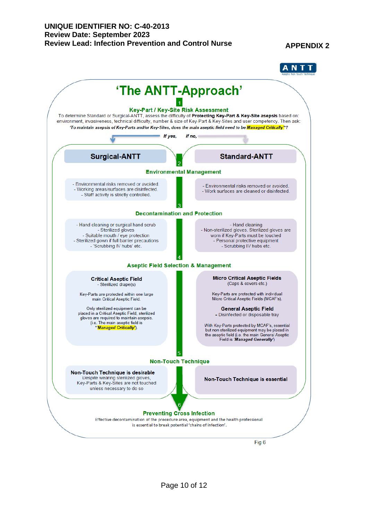#### **APPENDIX 2**

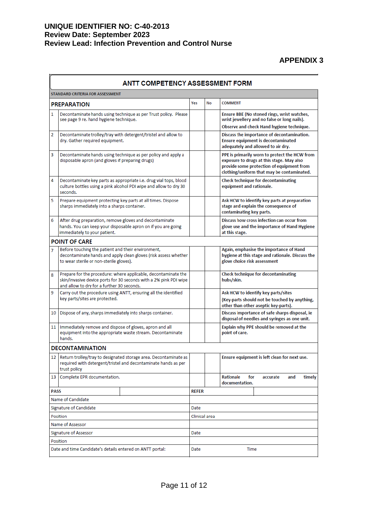**APPENDIX 3**

| <b>ANTT COMPETENCY ASSESSMENT FORM</b>                    |                                                                                                                                                                                   |              |               |                                                                                                                                                                                       |  |  |  |
|-----------------------------------------------------------|-----------------------------------------------------------------------------------------------------------------------------------------------------------------------------------|--------------|---------------|---------------------------------------------------------------------------------------------------------------------------------------------------------------------------------------|--|--|--|
| STANDARD CRITERIA FOR ASSESSMENT                          |                                                                                                                                                                                   |              |               |                                                                                                                                                                                       |  |  |  |
|                                                           | <b>PREPARATION</b>                                                                                                                                                                | Yes          | No            | <b>COMMENT</b>                                                                                                                                                                        |  |  |  |
| 1                                                         | Decontaminate hands using technique as per Trust policy. Please<br>see page 9 re. hand hygiene technique.                                                                         |              |               | Ensure BBE (No stoned rings, wrist watches,<br>wrist jewellery and no false or long nails).                                                                                           |  |  |  |
| 2                                                         | Decontaminate trolley/tray with detergent/tristel and allow to<br>dry. Gather required equipment.                                                                                 |              |               | Observe and check Hand hygiene technique.<br>Discuss the importance of decontamination.<br><b>Ensure equipment is decontaminated</b><br>adequately and allowed to air dry.            |  |  |  |
| 3                                                         | Decontaminate hands using technique as per policy and apply a<br>disposable apron (and gloves if preparing drugs)                                                                 |              |               | PPE is primarily worn to protect the HCW from<br>exposure to drugs at this stage. May also<br>provide some protection of equipment from<br>clothing/uniform that may be contaminated. |  |  |  |
| 4                                                         | Decontaminate key parts as appropriate i.e. drug vial tops, blood<br>culture bottles using a pink alcohol PDI wipe and allow to dry 30<br>seconds.                                |              |               | <b>Check technique for decontaminating</b><br>equipment and rationale.                                                                                                                |  |  |  |
| 5                                                         | Prepare equipment protecting key parts at all times. Dispose<br>sharps immediately into a sharps container.                                                                       |              |               | Ask HCW to identify key parts at preparation<br>stage and explain the consequence of<br>contaminating key parts.                                                                      |  |  |  |
| 6                                                         | After drug preparation, remove gloves and decontaminate<br>hands. You can keep your disposable apron on if you are going<br>immediately to your patient.                          |              |               | Discuss how cross infection can occur from<br>glove use and the importance of Hand Hygiene<br>at this stage.                                                                          |  |  |  |
|                                                           | <b>POINT OF CARE</b>                                                                                                                                                              |              |               |                                                                                                                                                                                       |  |  |  |
| 7                                                         | Before touching the patient and their environment,<br>decontaminate hands and apply clean gloves (risk assess whether<br>to wear sterile or non-sterile gloves).                  |              |               | Again, emphasise the importance of Hand<br>hygiene at this stage and rationale. Discuss the<br>glove choice risk assessment                                                           |  |  |  |
| 8                                                         | Prepare for the procedure: where applicable, decontaminate the<br>skin/invasive device ports for 30 seconds with a 2% pink PDI wipe<br>and allow to dry for a further 30 seconds. |              |               | <b>Check technique for decontaminating</b><br>hubs/skin.                                                                                                                              |  |  |  |
| 9                                                         | Carry out the procedure using ANTT, ensuring all the identified<br>key parts/sites are protected.                                                                                 |              |               | Ask HCW to identify key parts/sites<br>(Key-parts should not be touched by anything,<br>other than other aseptic key-parts).                                                          |  |  |  |
| 10                                                        | Dispose of any, sharps immediately into sharps container.                                                                                                                         |              |               | Discuss importance of safe sharps disposal, ie<br>disposal of needles and syringes as one unit.                                                                                       |  |  |  |
| 11                                                        | Immediately remove and dispose of gloves, apron and all<br>equipment into the appropriate waste stream. Decontaminate<br>hands.                                                   |              |               | Explain why PPE should be removed at the<br>point of care.                                                                                                                            |  |  |  |
|                                                           | <b>DECONTAMINATION</b>                                                                                                                                                            |              |               |                                                                                                                                                                                       |  |  |  |
|                                                           | 12   Return trolley/tray to designated storage area. Decontaminate as<br>required with detergent/tristel and decontaminate hands as per<br>trust policy                           |              |               | Ensure equipment is left clean for next use.                                                                                                                                          |  |  |  |
| 13                                                        | Complete EPR documentation.                                                                                                                                                       |              |               | <b>Rationale</b><br>for<br>accurate<br>and<br>timely<br>documentation.                                                                                                                |  |  |  |
| <b>PASS</b>                                               |                                                                                                                                                                                   | <b>REFER</b> |               |                                                                                                                                                                                       |  |  |  |
| Name of Candidate                                         |                                                                                                                                                                                   |              |               |                                                                                                                                                                                       |  |  |  |
| Signature of Candidate                                    |                                                                                                                                                                                   | Date         |               |                                                                                                                                                                                       |  |  |  |
|                                                           | Position                                                                                                                                                                          |              | Clinical area |                                                                                                                                                                                       |  |  |  |
| Name of Assessor                                          |                                                                                                                                                                                   |              |               |                                                                                                                                                                                       |  |  |  |
| Signature of Assessor<br>Position                         |                                                                                                                                                                                   | Date         |               |                                                                                                                                                                                       |  |  |  |
| Date and time Candidate's details entered on ANTT portal: |                                                                                                                                                                                   | Date<br>Time |               |                                                                                                                                                                                       |  |  |  |